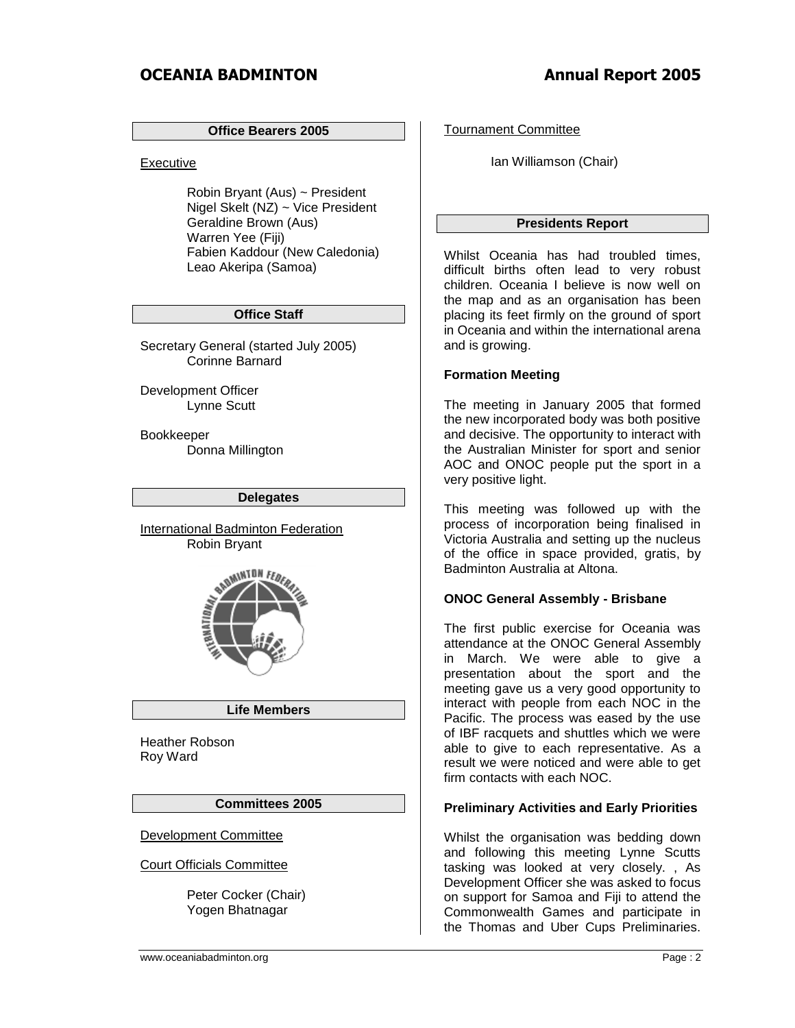## **Office Bearers 2005**

Executive

Robin Bryant (Aus) ~ President Nigel Skelt (NZ) ~ Vice President Geraldine Brown (Aus) Warren Yee (Fiji) Fabien Kaddour (New Caledonia) Leao Akeripa (Samoa)

# **Office Staff**

Secretary General (started July 2005) Corinne Barnard

Development Officer Lynne Scutt

Bookkeeper Donna Millington

### **Delegates**

International Badminton Federation Robin Bryant



## **Life Members**

Heather Robson Roy Ward

## **Committees 2005**

Development Committee

Court Officials Committee

Peter Cocker (Chair) Yogen Bhatnagar

Tournament Committee

Ian Williamson (Chair)

# **Presidents Report**

Whilst Oceania has had troubled times, difficult births often lead to very robust children. Oceania I believe is now well on the map and as an organisation has been placing its feet firmly on the ground of sport in Oceania and within the international arena and is growing.

# **Formation Meeting**

The meeting in January 2005 that formed the new incorporated body was both positive and decisive. The opportunity to interact with the Australian Minister for sport and senior AOC and ONOC people put the sport in a very positive light.

This meeting was followed up with the process of incorporation being finalised in Victoria Australia and setting up the nucleus of the office in space provided, gratis, by Badminton Australia at Altona.

# **ONOC General Assembly - Brisbane**

The first public exercise for Oceania was attendance at the ONOC General Assembly in March. We were able to give a presentation about the sport and the meeting gave us a very good opportunity to interact with people from each NOC in the Pacific. The process was eased by the use of IBF racquets and shuttles which we were able to give to each representative. As a result we were noticed and were able to get firm contacts with each NOC.

# **Preliminary Activities and Early Priorities**

Whilst the organisation was bedding down and following this meeting Lynne Scutts tasking was looked at very closely. , As Development Officer she was asked to focus on support for Samoa and Fiji to attend the Commonwealth Games and participate in the Thomas and Uber Cups Preliminaries.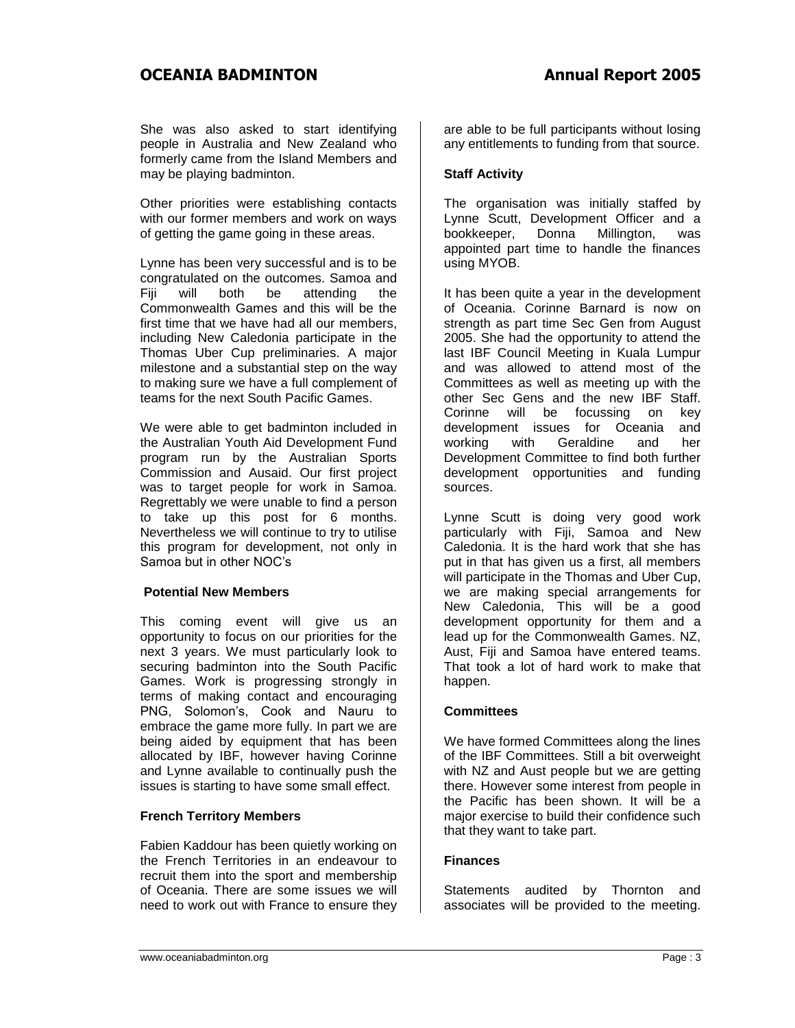She was also asked to start identifying people in Australia and New Zealand who formerly came from the Island Members and may be playing badminton.

Other priorities were establishing contacts with our former members and work on ways of getting the game going in these areas.

Lynne has been very successful and is to be congratulated on the outcomes. Samoa and<br>Fiii will both be attending the Fiji will both be attending the Commonwealth Games and this will be the first time that we have had all our members, including New Caledonia participate in the Thomas Uber Cup preliminaries. A major milestone and a substantial step on the way to making sure we have a full complement of teams for the next South Pacific Games.

We were able to get badminton included in the Australian Youth Aid Development Fund program run by the Australian Sports Commission and Ausaid. Our first project was to target people for work in Samoa. Regrettably we were unable to find a person to take up this post for 6 months. Nevertheless we will continue to try to utilise this program for development, not only in Samoa but in other NOC's

# **Potential New Members**

This coming event will give us an opportunity to focus on our priorities for the next 3 years. We must particularly look to securing badminton into the South Pacific Games. Work is progressing strongly in terms of making contact and encouraging PNG, Solomon's, Cook and Nauru to embrace the game more fully. In part we are being aided by equipment that has been allocated by IBF, however having Corinne and Lynne available to continually push the issues is starting to have some small effect.

# **French Territory Members**

Fabien Kaddour has been quietly working on the French Territories in an endeavour to recruit them into the sport and membership of Oceania. There are some issues we will need to work out with France to ensure they

are able to be full participants without losing any entitlements to funding from that source.

# **Staff Activity**

The organisation was initially staffed by Lynne Scutt, Development Officer and a bookkeeper, Donna Millington, was appointed part time to handle the finances using MYOB.

It has been quite a year in the development of Oceania. Corinne Barnard is now on strength as part time Sec Gen from August 2005. She had the opportunity to attend the last IBF Council Meeting in Kuala Lumpur and was allowed to attend most of the Committees as well as meeting up with the other Sec Gens and the new IBF Staff. Corinne will be focussing on key development issues for Oceania and working with Geraldine and her Development Committee to find both further development opportunities and funding sources.

Lynne Scutt is doing very good work particularly with Fiji, Samoa and New Caledonia. It is the hard work that she has put in that has given us a first, all members will participate in the Thomas and Uber Cup, we are making special arrangements for New Caledonia, This will be a good development opportunity for them and a lead up for the Commonwealth Games. NZ, Aust. Fiji and Samoa have entered teams. That took a lot of hard work to make that happen.

# **Committees**

We have formed Committees along the lines of the IBF Committees. Still a bit overweight with NZ and Aust people but we are getting there. However some interest from people in the Pacific has been shown. It will be a major exercise to build their confidence such that they want to take part.

## **Finances**

Statements audited by Thornton and associates will be provided to the meeting.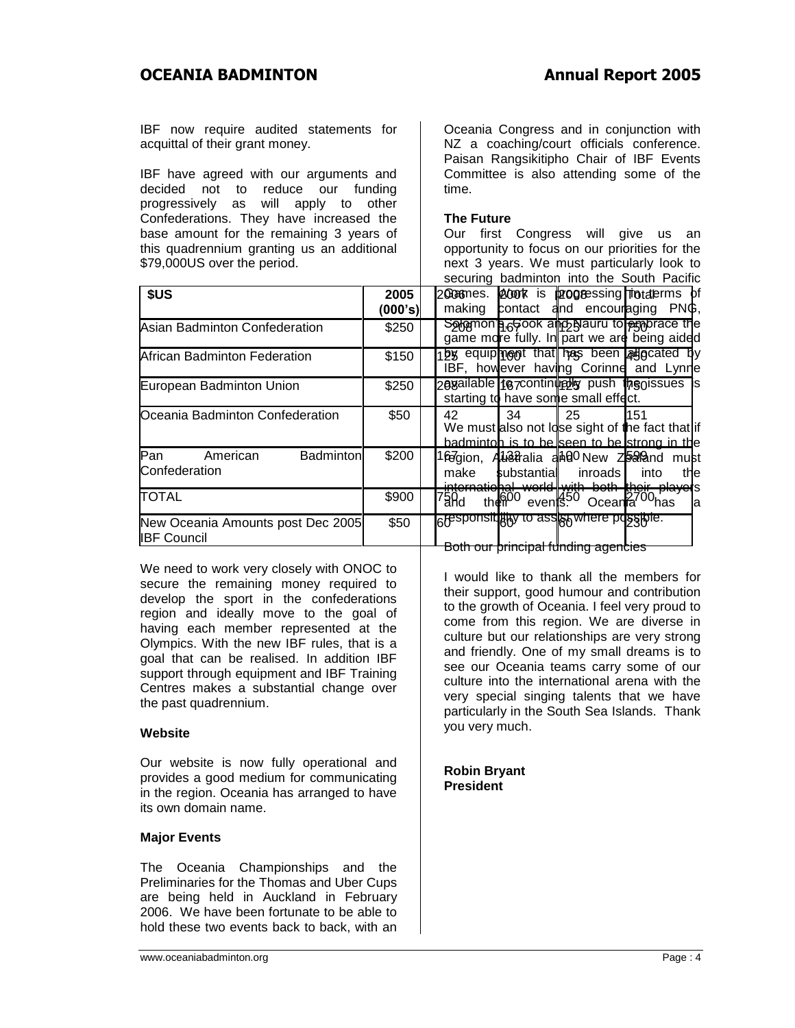IBF now require audited statements for acquittal of their grant money.

IBF have agreed with our arguments and decided not to reduce our funding progressively as will apply to other Confederations. They have increased the base amount for the remaining 3 years of this quadrennium granting us an additional \$79,000US over the period.

Oceania Congress and in conjunction with NZ a coaching/court officials conference. Paisan Rangsikitipho Chair of IBF Events Committee is also attending some of the time.

#### **The Future**

Our first Congress will give us an opportunity to focus on our priorities for the next 3 years. We must particularly look to securing badminton into the South Pacific

|                                                         |                 | Securing Dauminton line the South Facility                                                                                                                                           |
|---------------------------------------------------------|-----------------|--------------------------------------------------------------------------------------------------------------------------------------------------------------------------------------|
| \$US                                                    | 2005<br>(000's) | 2008mes. 2000 k is p2008essing Trotaterms of<br>contact and encouraging PNG,<br>making                                                                                               |
| Asian Badminton Confederation                           | \$250           | Solomon a 6500K all to be a complete the<br>game more fully. In part we are being aided                                                                                              |
| African Badminton Federation                            | \$150           | by equipinent that has been allecated by<br>IBF, however having Corinne and Lynne                                                                                                    |
| European Badminton Union                                | \$250           | 20 aniable 10 continuedly push the oissues is<br>starting to have some small effect.                                                                                                 |
| Oceania Badminton Confederation                         | \$50            | 42<br>-34<br>- 25<br>151<br>We must also not Idse sight of the fact that if<br>badmintoh is to be seen to be strong in the                                                           |
| Pan<br><b>Badminton</b><br>American<br>Confederation    | \$200           | l6e7gion, Alû\$tralia ani00New Zooaland must<br>make<br>substantial<br>inroads I<br>into<br>the                                                                                      |
| <b>TOTAL</b>                                            | \$900           | <del>_internatiohal_world<b> </b>with_both_their_player</del> s<br><sup>7</sup> ard   their <sup>00</sup> events <sup>50</sup> Ocearla <sup>700</sup> has   a<br>∕ <sup>00</sup> has |
| New Oceania Amounts post Dec 2005<br><b>IBF Council</b> | \$50            | <b>Responsique to assist where possible.</b><br><del>at filmatina</del>                                                                                                              |

We need to work very closely with ONOC to secure the remaining money required to develop the sport in the confederations region and ideally move to the goal of having each member represented at the Olympics. With the new IBF rules, that is a goal that can be realised. In addition IBF support through equipment and IBF Training Centres makes a substantial change over the past quadrennium.

## **Website**

Our website is now fully operational and provides a good medium for communicating in the region. Oceania has arranged to have its own domain name.

## **Major Events**

The Oceania Championships and the Preliminaries for the Thomas and Uber Cups are being held in Auckland in February 2006. We have been fortunate to be able to hold these two events back to back, with an

Both our principal funding agencies

I would like to thank all the members for their support, good humour and contribution to the growth of Oceania. I feel very proud to come from this region. We are diverse in culture but our relationships are very strong and friendly. One of my small dreams is to see our Oceania teams carry some of our culture into the international arena with the very special singing talents that we have particularly in the South Sea Islands. Thank you very much.

**Robin Bryant President**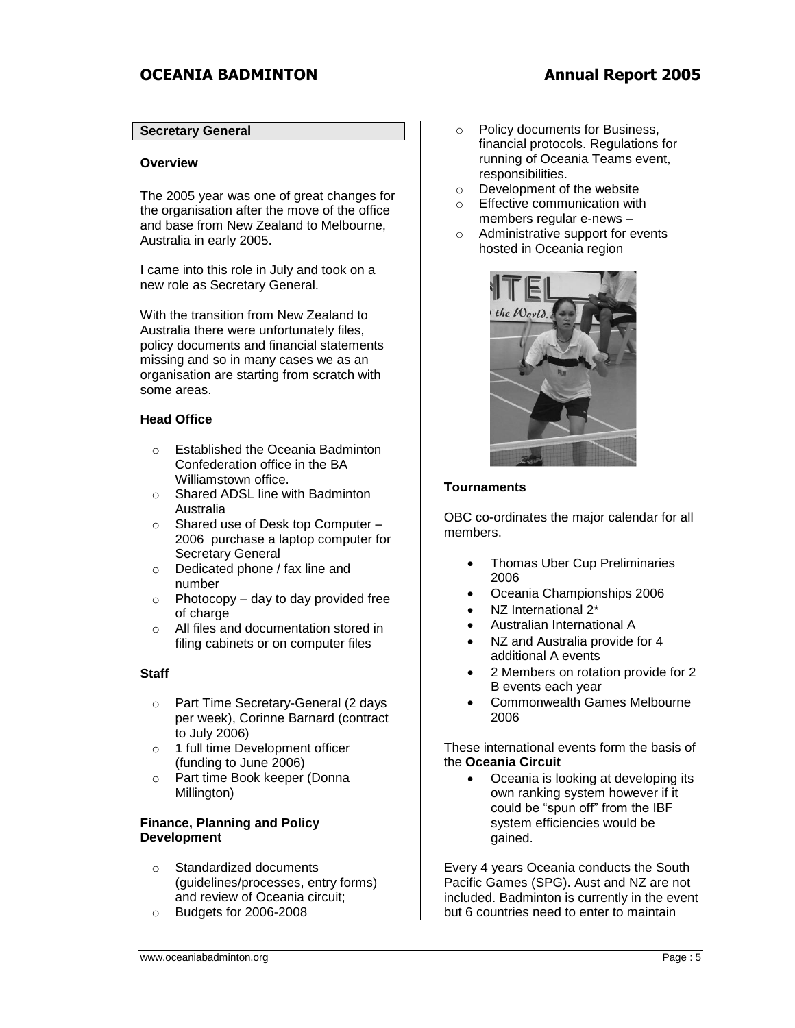# **Secretary General**

#### **Overview**

The 2005 year was one of great changes for the organisation after the move of the office and base from New Zealand to Melbourne, Australia in early 2005.

I came into this role in July and took on a new role as Secretary General.

With the transition from New Zealand to Australia there were unfortunately files, policy documents and financial statements missing and so in many cases we as an organisation are starting from scratch with some areas.

## **Head Office**

- o Established the Oceania Badminton Confederation office in the BA Williamstown office.
- o Shared ADSL line with Badminton Australia
- o Shared use of Desk top Computer 2006 purchase a laptop computer for Secretary General
- o Dedicated phone / fax line and number
- $\circ$  Photocopy day to day provided free of charge
- o All files and documentation stored in filing cabinets or on computer files

## **Staff**

- o Part Time Secretary-General (2 days per week), Corinne Barnard (contract to July 2006)
- o 1 full time Development officer (funding to June 2006)
- o Part time Book keeper (Donna Millington)

#### **Finance, Planning and Policy Development**

- o Standardized documents (guidelines/processes, entry forms) and review of Oceania circuit;
- o Budgets for 2006-2008
- o Policy documents for Business, financial protocols. Regulations for running of Oceania Teams event, responsibilities.
- o Development of the website
- o Effective communication with members regular e-news –
- o Administrative support for events hosted in Oceania region



#### **Tournaments**

OBC co-ordinates the major calendar for all members.

- Thomas Uber Cup Preliminaries 2006
- Oceania Championships 2006
- NZ International 2\*
- Australian International A
- NZ and Australia provide for 4 additional A events
- 2 Members on rotation provide for 2 B events each year
- Commonwealth Games Melbourne 2006

These international events form the basis of the **Oceania Circuit**

• Oceania is looking at developing its own ranking system however if it could be "spun off" from the IBF system efficiencies would be gained.

Every 4 years Oceania conducts the South Pacific Games (SPG). Aust and NZ are not included. Badminton is currently in the event but 6 countries need to enter to maintain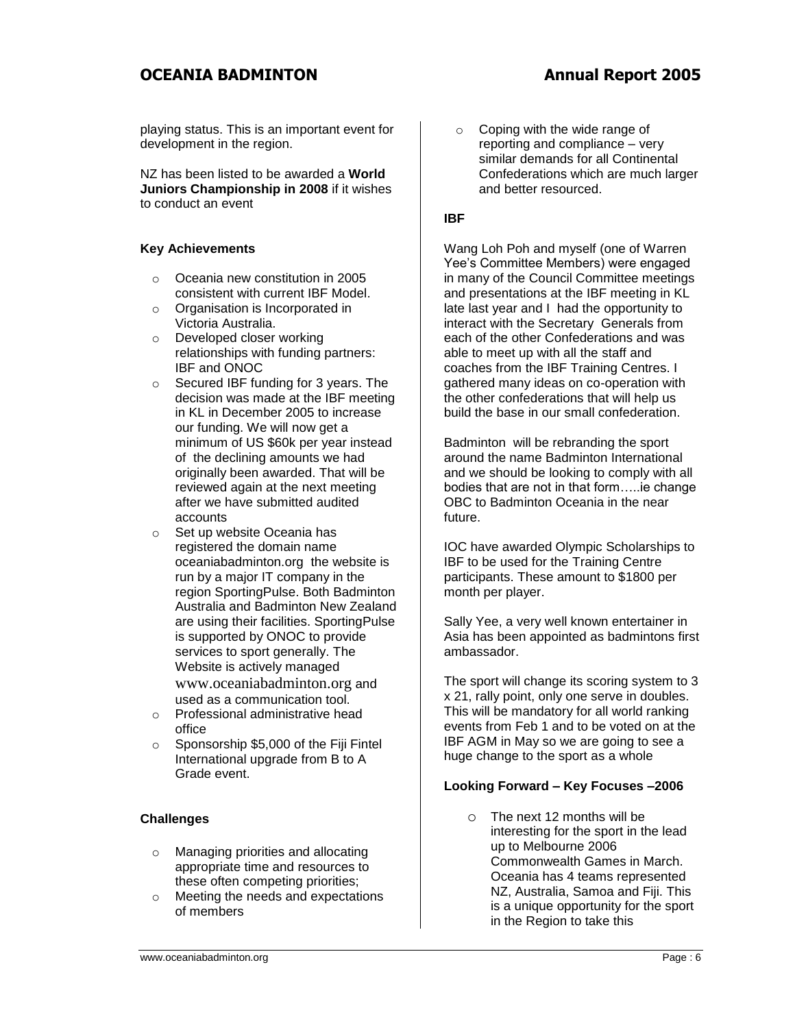playing status. This is an important event for development in the region.

NZ has been listed to be awarded a **World Juniors Championship in 2008** if it wishes to conduct an event

# **Key Achievements**

- o Oceania new constitution in 2005 consistent with current IBF Model.
- o Organisation is Incorporated in Victoria Australia.
- o Developed closer working relationships with funding partners: IBF and ONOC
- o Secured IBF funding for 3 years. The decision was made at the IBF meeting in KL in December 2005 to increase our funding. We will now get a minimum of US \$60k per year instead of the declining amounts we had originally been awarded. That will be reviewed again at the next meeting after we have submitted audited accounts
- o Set up website Oceania has registered the domain name oceaniabadminton.org the website is run by a major IT company in the region SportingPulse. Both Badminton Australia and Badminton New Zealand are using their facilities. SportingPulse is supported by ONOC to provide services to sport generally. The Website is actively managed [www.oceaniabadminton.org](http://www.oceaniabadminton.org/) and used as a communication tool.
- o Professional administrative head office
- o Sponsorship \$5,000 of the Fiji Fintel International upgrade from B to A Grade event.

# **Challenges**

- o Managing priorities and allocating appropriate time and resources to these often competing priorities;
- o Meeting the needs and expectations of members

o Coping with the wide range of reporting and compliance – very similar demands for all Continental Confederations which are much larger and better resourced.

# **IBF**

Wang Loh Poh and myself (one of Warren Yee's Committee Members) were engaged in many of the Council Committee meetings and presentations at the IBF meeting in KL late last year and I had the opportunity to interact with the Secretary Generals from each of the other Confederations and was able to meet up with all the staff and coaches from the IBF Training Centres. I gathered many ideas on co-operation with the other confederations that will help us build the base in our small confederation.

Badminton will be rebranding the sport around the name Badminton International and we should be looking to comply with all bodies that are not in that form…..ie change OBC to Badminton Oceania in the near future.

IOC have awarded Olympic Scholarships to IBF to be used for the Training Centre participants. These amount to \$1800 per month per player.

Sally Yee, a very well known entertainer in Asia has been appointed as badmintons first ambassador.

The sport will change its scoring system to 3 x 21, rally point, only one serve in doubles. This will be mandatory for all world ranking events from Feb 1 and to be voted on at the IBF AGM in May so we are going to see a huge change to the sport as a whole

# **Looking Forward – Key Focuses –2006**

o The next 12 months will be interesting for the sport in the lead up to Melbourne 2006 Commonwealth Games in March. Oceania has 4 teams represented NZ, Australia, Samoa and Fiji. This is a unique opportunity for the sport in the Region to take this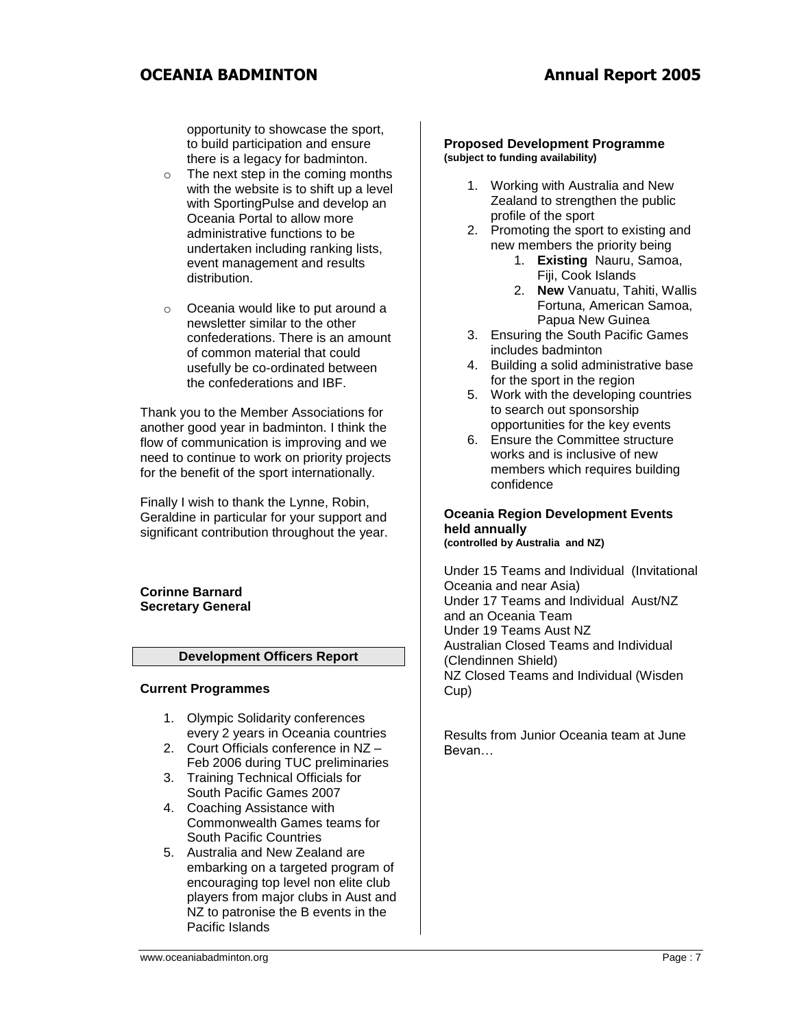opportunity to showcase the sport, to build participation and ensure there is a legacy for badminton.

- o The next step in the coming months with the website is to shift up a level with SportingPulse and develop an Oceania Portal to allow more administrative functions to be undertaken including ranking lists, event management and results distribution.
- o Oceania would like to put around a newsletter similar to the other confederations. There is an amount of common material that could usefully be co-ordinated between the confederations and IBF.

Thank you to the Member Associations for another good year in badminton. I think the flow of communication is improving and we need to continue to work on priority projects for the benefit of the sport internationally.

Finally I wish to thank the Lynne, Robin, Geraldine in particular for your support and significant contribution throughout the year.

#### **Corinne Barnard Secretary General**

# **Development Officers Report**

## **Current Programmes**

- 1. Olympic Solidarity conferences every 2 years in Oceania countries
- 2. Court Officials conference in NZ Feb 2006 during TUC preliminaries
- 3. Training Technical Officials for South Pacific Games 2007
- 4. Coaching Assistance with Commonwealth Games teams for South Pacific Countries
- 5. Australia and New Zealand are embarking on a targeted program of encouraging top level non elite club players from major clubs in Aust and NZ to patronise the B events in the Pacific Islands

#### **Proposed Development Programme (subject to funding availability)**

- 1. Working with Australia and New Zealand to strengthen the public profile of the sport
- 2. Promoting the sport to existing and new members the priority being
	- 1. **Existing** Nauru, Samoa, Fiji, Cook Islands
	- 2. **New** Vanuatu, Tahiti, Wallis Fortuna, American Samoa, Papua New Guinea
- 3. Ensuring the South Pacific Games includes badminton
- 4. Building a solid administrative base for the sport in the region
- 5. Work with the developing countries to search out sponsorship opportunities for the key events
- 6. Ensure the Committee structure works and is inclusive of new members which requires building confidence

#### **Oceania Region Development Events held annually (controlled by Australia and NZ)**

Under 15 Teams and Individual (Invitational Oceania and near Asia) Under 17 Teams and Individual Aust/NZ and an Oceania Team Under 19 Teams Aust NZ Australian Closed Teams and Individual (Clendinnen Shield) NZ Closed Teams and Individual (Wisden Cup)

Results from Junior Oceania team at June Bevan…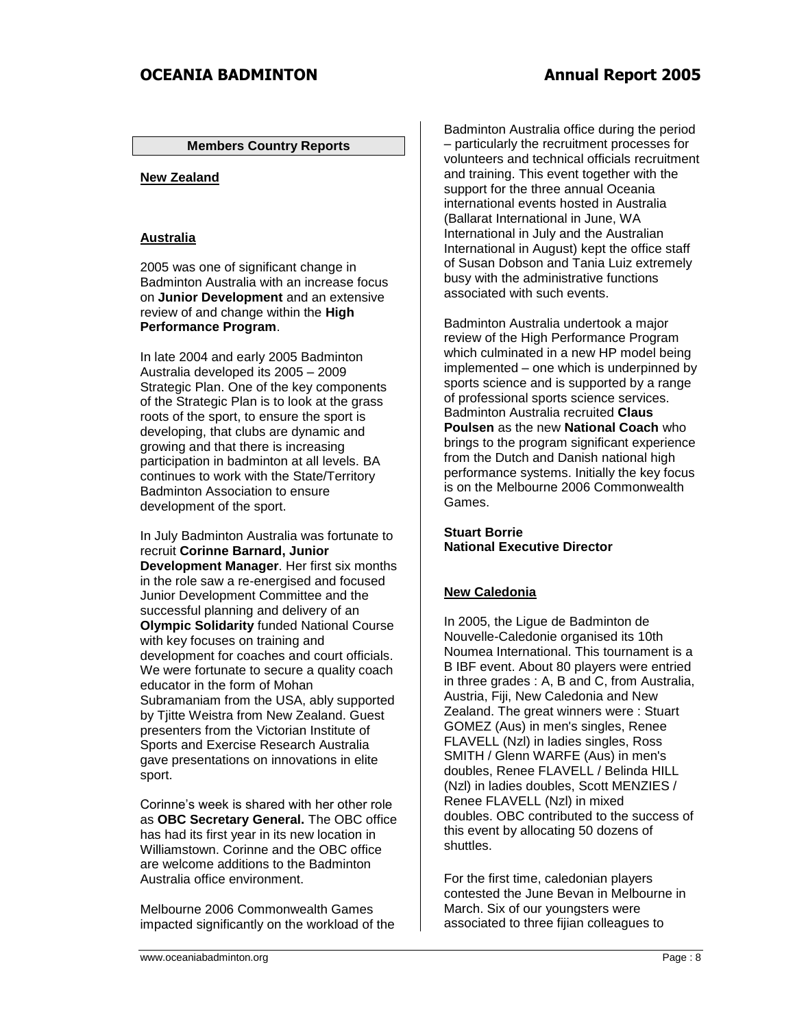### **Members Country Reports**

## **New Zealand**

#### **Australia**

2005 was one of significant change in Badminton Australia with an increase focus on **Junior Development** and an extensive review of and change within the **High Performance Program**.

In late 2004 and early 2005 Badminton Australia developed its 2005 – 2009 Strategic Plan. One of the key components of the Strategic Plan is to look at the grass roots of the sport, to ensure the sport is developing, that clubs are dynamic and growing and that there is increasing participation in badminton at all levels. BA continues to work with the State/Territory Badminton Association to ensure development of the sport.

In July Badminton Australia was fortunate to recruit **Corinne Barnard, Junior Development Manager**. Her first six months in the role saw a re-energised and focused Junior Development Committee and the successful planning and delivery of an **Olympic Solidarity** funded National Course with key focuses on training and development for coaches and court officials. We were fortunate to secure a quality coach educator in the form of Mohan Subramaniam from the USA, ably supported by Tjitte Weistra from New Zealand. Guest presenters from the Victorian Institute of Sports and Exercise Research Australia gave presentations on innovations in elite sport.

Corinne's week is shared with her other role as **OBC Secretary General.** The OBC office has had its first year in its new location in Williamstown. Corinne and the OBC office are welcome additions to the Badminton Australia office environment.

Melbourne 2006 Commonwealth Games impacted significantly on the workload of the

Badminton Australia office during the period – particularly the recruitment processes for volunteers and technical officials recruitment and training. This event together with the support for the three annual Oceania international events hosted in Australia (Ballarat International in June, WA International in July and the Australian International in August) kept the office staff of Susan Dobson and Tania Luiz extremely busy with the administrative functions associated with such events.

Badminton Australia undertook a major review of the High Performance Program which culminated in a new HP model being implemented – one which is underpinned by sports science and is supported by a range of professional sports science services. Badminton Australia recruited **Claus Poulsen** as the new **National Coach** who brings to the program significant experience from the Dutch and Danish national high performance systems. Initially the key focus is on the Melbourne 2006 Commonwealth Games.

# **Stuart Borrie National Executive Director**

## **New Caledonia**

In 2005, the Ligue de Badminton de Nouvelle-Caledonie organised its 10th Noumea International. This tournament is a B IBF event. About 80 players were entried in three grades : A, B and C, from Australia, Austria, Fiji, New Caledonia and New Zealand. The great winners were : Stuart GOMEZ (Aus) in men's singles, Renee FLAVELL (Nzl) in ladies singles, Ross SMITH / Glenn WARFE (Aus) in men's doubles, Renee FLAVELL / Belinda HILL (Nzl) in ladies doubles, Scott MENZIES / Renee FLAVELL (Nzl) in mixed doubles. OBC contributed to the success of this event by allocating 50 dozens of shuttles.

For the first time, caledonian players contested the June Bevan in Melbourne in March. Six of our youngsters were associated to three fijian colleagues to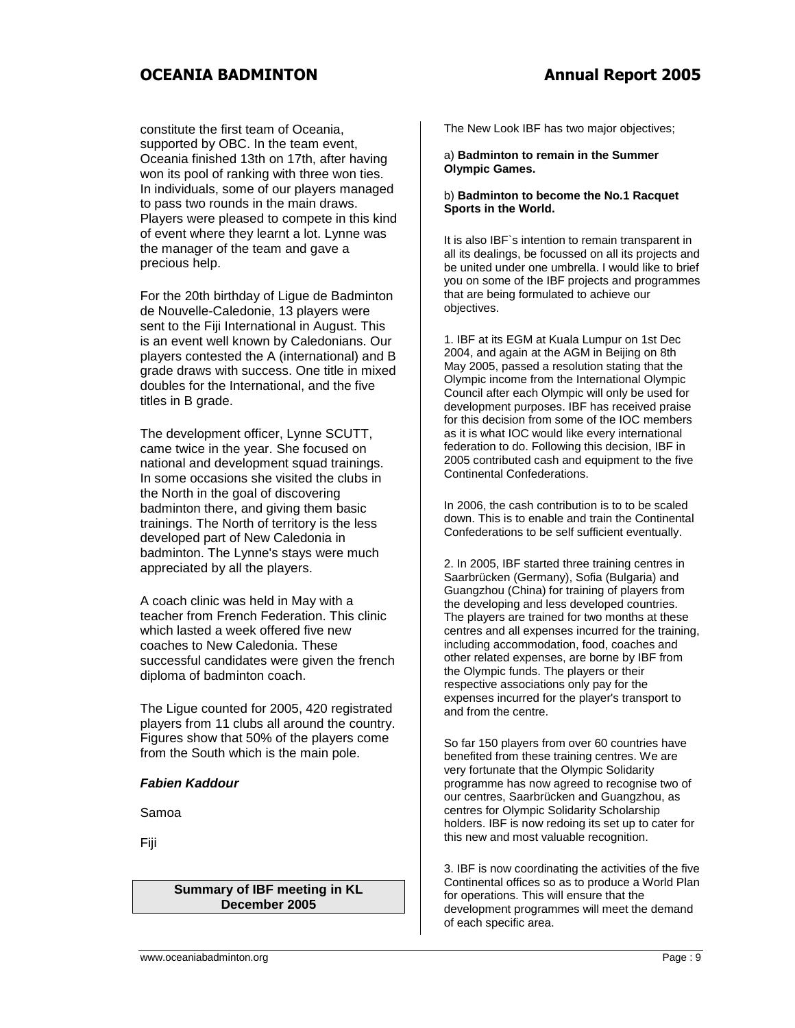constitute the first team of Oceania, supported by OBC. In the team event, Oceania finished 13th on 17th, after having won its pool of ranking with three won ties. In individuals, some of our players managed to pass two rounds in the main draws. Players were pleased to compete in this kind of event where they learnt a lot. Lynne was the manager of the team and gave a precious help.

For the 20th birthday of Ligue de Badminton de Nouvelle-Caledonie, 13 players were sent to the Fiji International in August. This is an event well known by Caledonians. Our players contested the A (international) and B grade draws with success. One title in mixed doubles for the International, and the five titles in B grade.

The development officer, Lynne SCUTT, came twice in the year. She focused on national and development squad trainings. In some occasions she visited the clubs in the North in the goal of discovering badminton there, and giving them basic trainings. The North of territory is the less developed part of New Caledonia in badminton. The Lynne's stays were much appreciated by all the players.

A coach clinic was held in May with a teacher from French Federation. This clinic which lasted a week offered five new coaches to New Caledonia. These successful candidates were given the french diploma of badminton coach.

The Ligue counted for 2005, 420 registrated players from 11 clubs all around the country. Figures show that 50% of the players come from the South which is the main pole.

## *Fabien Kaddour*

Samoa

Fiji

## **Summary of IBF meeting in KL December 2005**

The New Look IBF has two major objectives;

a) **Badminton to remain in the Summer Olympic Games.**

#### b) **Badminton to become the No.1 Racquet Sports in the World.**

It is also IBF`s intention to remain transparent in all its dealings, be focussed on all its projects and be united under one umbrella. I would like to brief you on some of the IBF projects and programmes that are being formulated to achieve our objectives.

1. IBF at its EGM at Kuala Lumpur on 1st Dec 2004, and again at the AGM in Beijing on 8th May 2005, passed a resolution stating that the Olympic income from the International Olympic Council after each Olympic will only be used for development purposes. IBF has received praise for this decision from some of the IOC members as it is what IOC would like every international federation to do. Following this decision, IBF in 2005 contributed cash and equipment to the five Continental Confederations.

In 2006, the cash contribution is to to be scaled down. This is to enable and train the Continental Confederations to be self sufficient eventually.

2. In 2005, IBF started three training centres in Saarbrücken (Germany), Sofia (Bulgaria) and Guangzhou (China) for training of players from the developing and less developed countries. The players are trained for two months at these centres and all expenses incurred for the training, including accommodation, food, coaches and other related expenses, are borne by IBF from the Olympic funds. The players or their respective associations only pay for the expenses incurred for the player's transport to and from the centre.

So far 150 players from over 60 countries have benefited from these training centres. We are very fortunate that the Olympic Solidarity programme has now agreed to recognise two of our centres, Saarbrücken and Guangzhou, as centres for Olympic Solidarity Scholarship holders. IBF is now redoing its set up to cater for this new and most valuable recognition.

3. IBF is now coordinating the activities of the five Continental offices so as to produce a World Plan for operations. This will ensure that the development programmes will meet the demand of each specific area.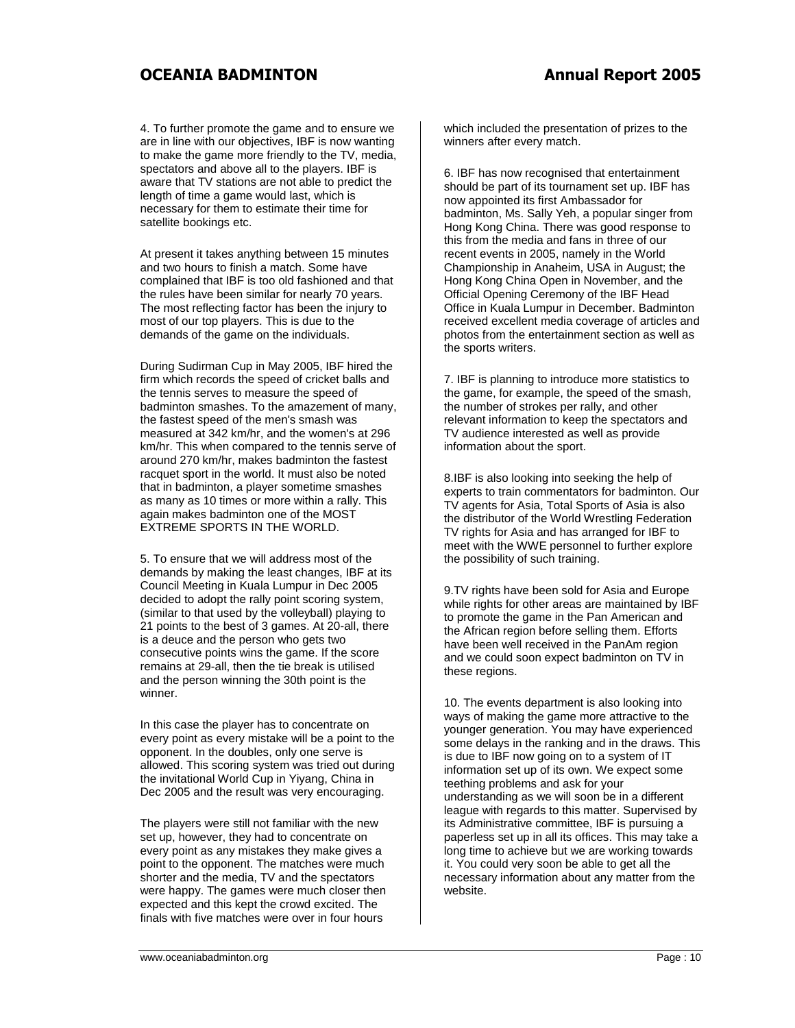4. To further promote the game and to ensure we are in line with our objectives, IBF is now wanting to make the game more friendly to the TV, media, spectators and above all to the players. IBF is aware that TV stations are not able to predict the length of time a game would last, which is necessary for them to estimate their time for satellite bookings etc.

At present it takes anything between 15 minutes and two hours to finish a match. Some have complained that IBF is too old fashioned and that the rules have been similar for nearly 70 years. The most reflecting factor has been the injury to most of our top players. This is due to the demands of the game on the individuals.

During Sudirman Cup in May 2005, IBF hired the firm which records the speed of cricket balls and the tennis serves to measure the speed of badminton smashes. To the amazement of many, the fastest speed of the men's smash was measured at 342 km/hr, and the women's at 296 km/hr. This when compared to the tennis serve of around 270 km/hr, makes badminton the fastest racquet sport in the world. It must also be noted that in badminton, a player sometime smashes as many as 10 times or more within a rally. This again makes badminton one of the MOST EXTREME SPORTS IN THE WORLD.

5. To ensure that we will address most of the demands by making the least changes, IBF at its Council Meeting in Kuala Lumpur in Dec 2005 decided to adopt the rally point scoring system, (similar to that used by the volleyball) playing to 21 points to the best of 3 games. At 20-all, there is a deuce and the person who gets two consecutive points wins the game. If the score remains at 29-all, then the tie break is utilised and the person winning the 30th point is the winner.

In this case the player has to concentrate on every point as every mistake will be a point to the opponent. In the doubles, only one serve is allowed. This scoring system was tried out during the invitational World Cup in Yiyang, China in Dec 2005 and the result was very encouraging.

The players were still not familiar with the new set up, however, they had to concentrate on every point as any mistakes they make gives a point to the opponent. The matches were much shorter and the media, TV and the spectators were happy. The games were much closer then expected and this kept the crowd excited. The finals with five matches were over in four hours

which included the presentation of prizes to the winners after every match.

6. IBF has now recognised that entertainment should be part of its tournament set up. IBF has now appointed its first Ambassador for badminton, Ms. Sally Yeh, a popular singer from Hong Kong China. There was good response to this from the media and fans in three of our recent events in 2005, namely in the World Championship in Anaheim, USA in August; the Hong Kong China Open in November, and the Official Opening Ceremony of the IBF Head Office in Kuala Lumpur in December. Badminton received excellent media coverage of articles and photos from the entertainment section as well as the sports writers.

7. IBF is planning to introduce more statistics to the game, for example, the speed of the smash, the number of strokes per rally, and other relevant information to keep the spectators and TV audience interested as well as provide information about the sport.

8.IBF is also looking into seeking the help of experts to train commentators for badminton. Our TV agents for Asia, Total Sports of Asia is also the distributor of the World Wrestling Federation TV rights for Asia and has arranged for IBF to meet with the WWE personnel to further explore the possibility of such training.

9.TV rights have been sold for Asia and Europe while rights for other areas are maintained by IBF to promote the game in the Pan American and the African region before selling them. Efforts have been well received in the PanAm region and we could soon expect badminton on TV in these regions.

10. The events department is also looking into ways of making the game more attractive to the younger generation. You may have experienced some delays in the ranking and in the draws. This is due to IBF now going on to a system of IT information set up of its own. We expect some teething problems and ask for your understanding as we will soon be in a different league with regards to this matter. Supervised by its Administrative committee, IBF is pursuing a paperless set up in all its offices. This may take a long time to achieve but we are working towards it. You could very soon be able to get all the necessary information about any matter from the website.